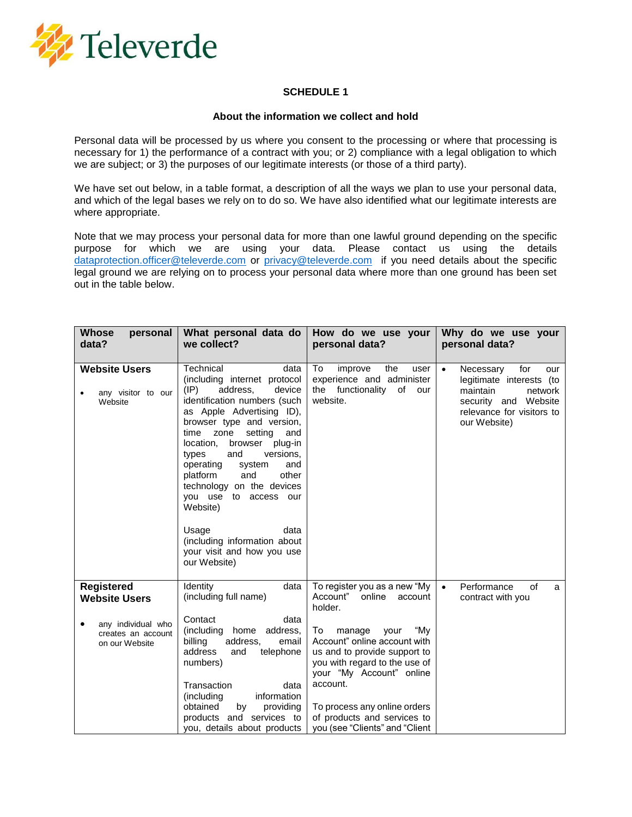

## **SCHEDULE 1**

## **About the information we collect and hold**

Personal data will be processed by us where you consent to the processing or where that processing is necessary for 1) the performance of a contract with you; or 2) compliance with a legal obligation to which we are subject; or 3) the purposes of our legitimate interests (or those of a third party).

We have set out below, in a table format, a description of all the ways we plan to use your personal data, and which of the legal bases we rely on to do so. We have also identified what our legitimate interests are where appropriate.

Note that we may process your personal data for more than one lawful ground depending on the specific purpose for which we are using your data. Please contact us using the details [dataprotection.officer@televerde.com](mailto:dataprotection.officer@televerde.com) or [privacy@televerde.com](mailto:privacy@televerde.com) if you need details about the specific legal ground we are relying on to process your personal data where more than one ground has been set out in the table below.

| Whose<br>personal<br>data?                                                                              | What personal data do<br>we collect?                                                                                                                                                                                                                                                                                                                                                                                                                                                                                 | How do we use your<br>personal data?                                                                                                                                                                                                                                                                                                              | Why do we use your<br>personal data?                                                                                                                         |
|---------------------------------------------------------------------------------------------------------|----------------------------------------------------------------------------------------------------------------------------------------------------------------------------------------------------------------------------------------------------------------------------------------------------------------------------------------------------------------------------------------------------------------------------------------------------------------------------------------------------------------------|---------------------------------------------------------------------------------------------------------------------------------------------------------------------------------------------------------------------------------------------------------------------------------------------------------------------------------------------------|--------------------------------------------------------------------------------------------------------------------------------------------------------------|
|                                                                                                         |                                                                                                                                                                                                                                                                                                                                                                                                                                                                                                                      |                                                                                                                                                                                                                                                                                                                                                   |                                                                                                                                                              |
| <b>Website Users</b><br>any visitor to our<br>Website                                                   | Technical<br>data<br>(including internet protocol<br>address,<br>device<br>$(\mathsf{IP})$<br>identification numbers (such<br>as Apple Advertising ID),<br>browser type and version,<br>setting<br>time<br>zone<br>and<br>location,<br>browser<br>plug-in<br>types<br>and<br>versions.<br>operating<br>and<br>system<br>other<br>platform<br>and<br>technology on the devices<br>you use to<br>access our<br>Website)<br>Usage<br>data<br>(including information about<br>your visit and how you use<br>our Website) | To<br>improve<br>the<br>user<br>experience and administer<br>the functionality<br>of<br>our<br>website.                                                                                                                                                                                                                                           | for<br>$\bullet$<br>Necessary<br>our<br>legitimate interests (to<br>maintain<br>network<br>security and Website<br>relevance for visitors to<br>our Website) |
| <b>Registered</b><br><b>Website Users</b><br>any individual who<br>creates an account<br>on our Website | Identity<br>data<br>(including full name)<br>Contact<br>data<br>(including home<br>address,<br>email<br>billing<br>address,<br>address<br>telephone<br>and<br>numbers)<br>Transaction<br>data<br>information<br>(including<br>obtained<br>by<br>providing<br>products and services to<br>you, details about products                                                                                                                                                                                                 | To register you as a new "My<br>Account"<br>online<br>account<br>holder.<br>manage<br>your<br>"Mv<br>To<br>Account" online account with<br>us and to provide support to<br>you with regard to the use of<br>your "My Account" online<br>account.<br>To process any online orders<br>of products and services to<br>you (see "Clients" and "Client | Performance<br>of<br>$\bullet$<br>a<br>contract with you                                                                                                     |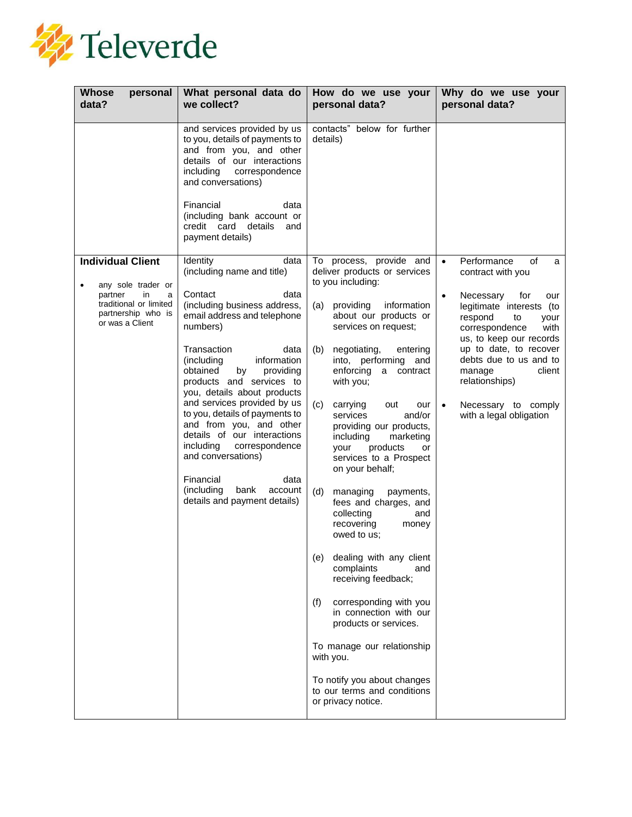

| <b>Whose</b><br>personal<br>data?                                                                                                       | What personal data do<br>we collect?                                                                                                                                                                                                                                                                                                                                                                                                                                                                                                                             | How do we use your<br>personal data?                                                                                                                                                                                                                                                                                                                                                                                                                                                                                                                                                                                                                                                                                                                                                                                                                                              | Why do we use your<br>personal data?                                                                                                                                                                                                                                                                                                                                |
|-----------------------------------------------------------------------------------------------------------------------------------------|------------------------------------------------------------------------------------------------------------------------------------------------------------------------------------------------------------------------------------------------------------------------------------------------------------------------------------------------------------------------------------------------------------------------------------------------------------------------------------------------------------------------------------------------------------------|-----------------------------------------------------------------------------------------------------------------------------------------------------------------------------------------------------------------------------------------------------------------------------------------------------------------------------------------------------------------------------------------------------------------------------------------------------------------------------------------------------------------------------------------------------------------------------------------------------------------------------------------------------------------------------------------------------------------------------------------------------------------------------------------------------------------------------------------------------------------------------------|---------------------------------------------------------------------------------------------------------------------------------------------------------------------------------------------------------------------------------------------------------------------------------------------------------------------------------------------------------------------|
|                                                                                                                                         | and services provided by us<br>to you, details of payments to<br>and from you, and other<br>details of our interactions<br>including<br>correspondence<br>and conversations)<br>Financial<br>data<br>(including bank account or<br>credit card<br>details<br>and<br>payment details)                                                                                                                                                                                                                                                                             | contacts" below for further<br>details)                                                                                                                                                                                                                                                                                                                                                                                                                                                                                                                                                                                                                                                                                                                                                                                                                                           |                                                                                                                                                                                                                                                                                                                                                                     |
| <b>Individual Client</b><br>any sole trader or<br>partner<br>in<br>a<br>traditional or limited<br>partnership who is<br>or was a Client | Identity<br>data<br>(including name and title)<br>Contact<br>data<br>(including business address,<br>email address and telephone<br>numbers)<br>Transaction<br>data<br>information<br>(including<br>obtained<br>by<br>providing<br>products and services to<br>you, details about products<br>and services provided by us<br>to you, details of payments to<br>and from you, and other<br>details of our interactions<br>including<br>correspondence<br>and conversations)<br>Financial<br>data<br>(including<br>bank<br>account<br>details and payment details) | process, provide and<br>To<br>deliver products or services<br>to you including:<br>providing<br>information<br>(a)<br>about our products or<br>services on request;<br>(b)<br>negotiating,<br>entering<br>into, performing and<br>enforcing<br>a<br>contract<br>with you;<br>(c)<br>carrying<br>out<br>our<br>services<br>and/or<br>providing our products,<br>including<br>marketing<br>products<br>your<br>or<br>services to a Prospect<br>on your behalf;<br>(d)<br>managing<br>payments,<br>fees and charges, and<br>collecting<br>and<br>recovering<br>money<br>owed to us:<br>dealing with any client<br>(e)<br>complaints<br>and<br>receiving feedback;<br>corresponding with you<br>(f)<br>in connection with our<br>products or services.<br>To manage our relationship<br>with you.<br>To notify you about changes<br>to our terms and conditions<br>or privacy notice. | Performance<br>of<br>$\bullet$<br>a<br>contract with you<br>Necessary<br>for<br>our<br>$\bullet$<br>legitimate interests (to<br>respond<br>to<br>your<br>correspondence<br>with<br>us, to keep our records<br>up to date, to recover<br>debts due to us and to<br>client<br>manage<br>relationships)<br>Necessary to comply<br>$\bullet$<br>with a legal obligation |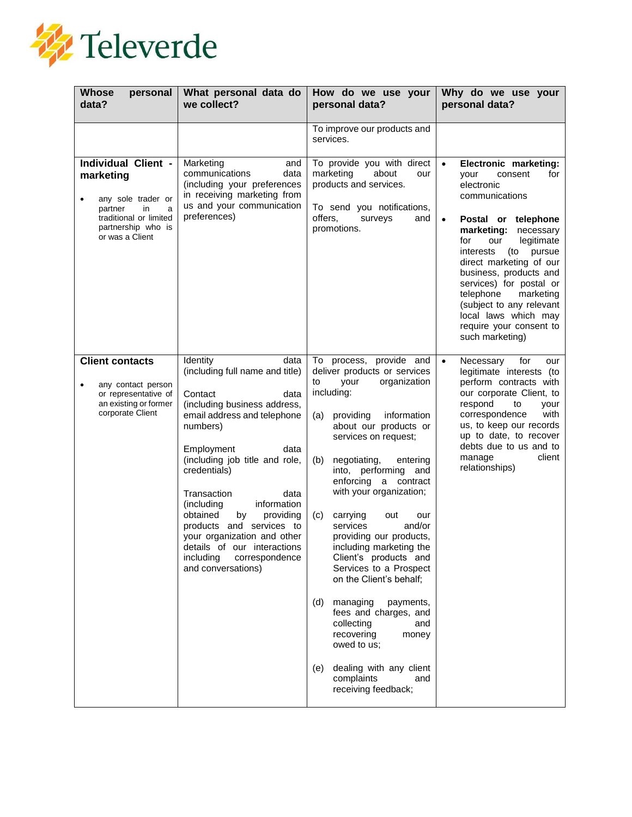

| <b>Whose</b><br>personal<br>data?                                                                                                                    | What personal data do<br>we collect?                                                                                                                                                                                                                                                                                                                                                                                                                        | How do we use your<br>personal data?                                                                                                                                                                                                                                                                                                                                                                                                                                                                                                                                                                                                                                                                  | Why do we use your<br>personal data?                                                                                                                                                                                                                                                                                                                                                                                              |
|------------------------------------------------------------------------------------------------------------------------------------------------------|-------------------------------------------------------------------------------------------------------------------------------------------------------------------------------------------------------------------------------------------------------------------------------------------------------------------------------------------------------------------------------------------------------------------------------------------------------------|-------------------------------------------------------------------------------------------------------------------------------------------------------------------------------------------------------------------------------------------------------------------------------------------------------------------------------------------------------------------------------------------------------------------------------------------------------------------------------------------------------------------------------------------------------------------------------------------------------------------------------------------------------------------------------------------------------|-----------------------------------------------------------------------------------------------------------------------------------------------------------------------------------------------------------------------------------------------------------------------------------------------------------------------------------------------------------------------------------------------------------------------------------|
|                                                                                                                                                      |                                                                                                                                                                                                                                                                                                                                                                                                                                                             | To improve our products and<br>services.                                                                                                                                                                                                                                                                                                                                                                                                                                                                                                                                                                                                                                                              |                                                                                                                                                                                                                                                                                                                                                                                                                                   |
| Individual Client -<br>marketing<br>any sole trader or<br>٠<br>partner<br>in<br>a<br>traditional or limited<br>partnership who is<br>or was a Client | Marketing<br>and<br>communications<br>data<br>(including your preferences<br>in receiving marketing from<br>us and your communication<br>preferences)                                                                                                                                                                                                                                                                                                       | To provide you with direct<br>marketing<br>about<br>our<br>products and services.<br>To send you notifications,<br>offers.<br>surveys<br>and<br>promotions.                                                                                                                                                                                                                                                                                                                                                                                                                                                                                                                                           | $\bullet$<br>Electronic marketing:<br>consent<br>for<br>vour<br>electronic<br>communications<br>$\bullet$<br>Postal or telephone<br>marketing:<br>necessary<br>legitimate<br>for<br>our<br>interests<br>(to<br>pursue<br>direct marketing of our<br>business, products and<br>services) for postal or<br>telephone<br>marketing<br>(subject to any relevant<br>local laws which may<br>require your consent to<br>such marketing) |
| <b>Client contacts</b><br>any contact person<br>or representative of<br>an existing or former<br>corporate Client                                    | Identity<br>data<br>(including full name and title)<br>Contact<br>data<br>(including business address,<br>email address and telephone<br>numbers)<br>Employment<br>data<br>(including job title and role,<br>credentials)<br>Transaction<br>data<br>(including<br>information<br>obtained<br>providing<br>by<br>products and services to<br>your organization and other<br>details of our interactions<br>including<br>correspondence<br>and conversations) | To<br>process, provide and<br>deliver products or services<br>to<br>your<br>organization<br>including:<br>information<br>(a)<br>providing<br>about our products or<br>services on request;<br>(b)<br>negotiating,<br>entering<br>into, performing and<br>enforcing a contract<br>with your organization;<br>carrying<br>(C)<br>out<br>our<br>and/or<br>services<br>providing our products,<br>including marketing the<br>Client's products and<br>Services to a Prospect<br>on the Client's behalf;<br>(d)<br>managing<br>payments,<br>fees and charges, and<br>collecting<br>and<br>recovering<br>money<br>owed to us;<br>dealing with any client<br>(e)<br>complaints<br>and<br>receiving feedback; | Necessary<br>for<br>$\bullet$<br>our<br>legitimate interests (to<br>perform contracts with<br>our corporate Client, to<br>respond<br>to<br>your<br>correspondence<br>with<br>us, to keep our records<br>up to date, to recover<br>debts due to us and to<br>manage<br>client<br>relationships)                                                                                                                                    |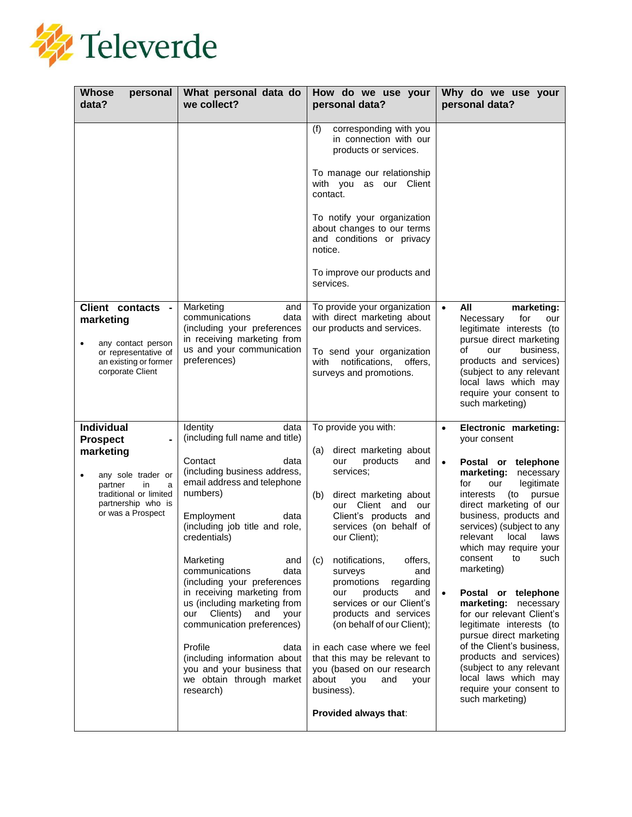

| <b>Whose</b><br>personal<br>data?                                                                                                                                   | What personal data do<br>we collect?                                                                                                                                                                                                                                                                                                                                                                                                                                                                                                                            | How do we use your<br>personal data?                                                                                                                                                                                                                                                                                                                                                                                                                                                                                                                                                      | Why do we use your<br>personal data?                                                                                                                                                                                                                                                                                                                                                                                                                                                                                                                                                                                                                    |
|---------------------------------------------------------------------------------------------------------------------------------------------------------------------|-----------------------------------------------------------------------------------------------------------------------------------------------------------------------------------------------------------------------------------------------------------------------------------------------------------------------------------------------------------------------------------------------------------------------------------------------------------------------------------------------------------------------------------------------------------------|-------------------------------------------------------------------------------------------------------------------------------------------------------------------------------------------------------------------------------------------------------------------------------------------------------------------------------------------------------------------------------------------------------------------------------------------------------------------------------------------------------------------------------------------------------------------------------------------|---------------------------------------------------------------------------------------------------------------------------------------------------------------------------------------------------------------------------------------------------------------------------------------------------------------------------------------------------------------------------------------------------------------------------------------------------------------------------------------------------------------------------------------------------------------------------------------------------------------------------------------------------------|
|                                                                                                                                                                     |                                                                                                                                                                                                                                                                                                                                                                                                                                                                                                                                                                 | corresponding with you<br>(f)<br>in connection with our<br>products or services.<br>To manage our relationship<br>with you as our Client<br>contact.<br>To notify your organization<br>about changes to our terms<br>and conditions or privacy<br>notice.<br>To improve our products and<br>services.                                                                                                                                                                                                                                                                                     |                                                                                                                                                                                                                                                                                                                                                                                                                                                                                                                                                                                                                                                         |
| Client contacts -<br>marketing<br>any contact person<br>or representative of<br>an existing or former<br>corporate Client                                           | Marketing<br>and<br>data<br>communications<br>(including your preferences<br>in receiving marketing from<br>us and your communication<br>preferences)                                                                                                                                                                                                                                                                                                                                                                                                           | To provide your organization<br>with direct marketing about<br>our products and services.<br>To send your organization<br>notifications,<br>with<br>offers.<br>surveys and promotions.                                                                                                                                                                                                                                                                                                                                                                                                    | All<br>marketing:<br>$\bullet$<br>for<br>Necessary<br>our<br>legitimate interests (to<br>pursue direct marketing<br>of<br>business.<br>our<br>products and services)<br>(subject to any relevant<br>local laws which may<br>require your consent to<br>such marketing)                                                                                                                                                                                                                                                                                                                                                                                  |
| <b>Individual</b><br><b>Prospect</b><br>marketing<br>any sole trader or<br>partner<br>in.<br>a<br>traditional or limited<br>partnership who is<br>or was a Prospect | Identity<br>data<br>(including full name and title)<br>Contact<br>data<br>(including business address,<br>email address and telephone<br>numbers)<br>Employment<br>data<br>(including job title and role,<br>credentials)<br>Marketing<br>and<br>communications<br>data<br>(including your preferences<br>in receiving marketing from<br>us (including marketing from<br>Clients)<br>and<br>your<br>our<br>communication preferences)<br>Profile<br>data<br>(including information about<br>you and your business that<br>we obtain through market<br>research) | To provide you with:<br>direct marketing about<br>(a)<br>products<br>our<br>and<br>services;<br>direct marketing about<br>(b)<br>our Client and<br>our<br>Client's products and<br>services (on behalf of<br>our Client);<br>notifications,<br>offers,<br>(C)<br>surveys<br>and<br>promotions<br>regarding<br>products<br>and<br>our<br>services or our Client's<br>products and services<br>(on behalf of our Client);<br>in each case where we feel<br>that this may be relevant to<br>you (based on our research<br>about<br>you<br>and<br>your<br>business).<br>Provided always that: | Electronic marketing:<br>$\bullet$<br>your consent<br>Postal or telephone<br>$\bullet$<br>marketing:<br>necessary<br>for<br>legitimate<br>our<br>interests<br>pursue<br>(to<br>direct marketing of our<br>business, products and<br>services) (subject to any<br>relevant<br>local<br>laws<br>which may require your<br>consent<br>to<br>such<br>marketing)<br>Postal or telephone<br>marketing: necessary<br>for our relevant Client's<br>legitimate interests (to<br>pursue direct marketing<br>of the Client's business,<br>products and services)<br>(subject to any relevant<br>local laws which may<br>require your consent to<br>such marketing) |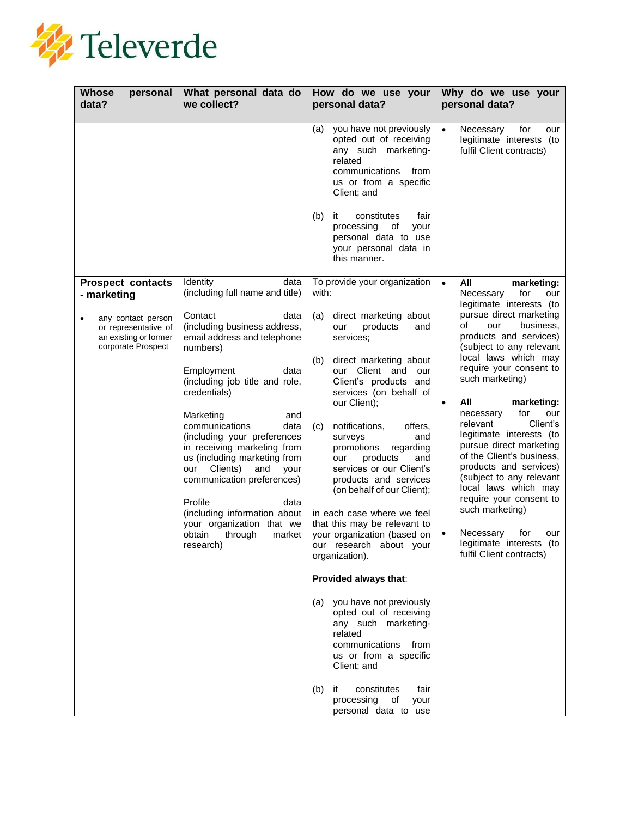

| <b>Whose</b><br>personal<br>data?                                   | What personal data do<br>we collect?                                                                                                                                                                                                                                                                                                                                                                                                                    | How do we use your<br>personal data?                                                                                                                                                                                                                                                                                                                                                                                                                                                                                                         | Why do we use your<br>personal data?                                                                                                                                                                                                                                                                                                                                                                                                                                                                                |
|---------------------------------------------------------------------|---------------------------------------------------------------------------------------------------------------------------------------------------------------------------------------------------------------------------------------------------------------------------------------------------------------------------------------------------------------------------------------------------------------------------------------------------------|----------------------------------------------------------------------------------------------------------------------------------------------------------------------------------------------------------------------------------------------------------------------------------------------------------------------------------------------------------------------------------------------------------------------------------------------------------------------------------------------------------------------------------------------|---------------------------------------------------------------------------------------------------------------------------------------------------------------------------------------------------------------------------------------------------------------------------------------------------------------------------------------------------------------------------------------------------------------------------------------------------------------------------------------------------------------------|
|                                                                     |                                                                                                                                                                                                                                                                                                                                                                                                                                                         | you have not previously<br>(a)<br>opted out of receiving<br>any such marketing-<br>related<br>communications from<br>us or from a specific<br>Client; and<br>(b)<br>constitutes<br>fair<br>ıt<br>processing<br>of<br>your<br>personal data to use<br>your personal data in<br>this manner.                                                                                                                                                                                                                                                   | Necessary<br>for<br>$\bullet$<br>our<br>legitimate interests (to<br>fulfil Client contracts)                                                                                                                                                                                                                                                                                                                                                                                                                        |
| <b>Prospect contacts</b><br>- marketing<br>any contact person       | Identity<br>data<br>(including full name and title)<br>Contact<br>data<br>(including business address,                                                                                                                                                                                                                                                                                                                                                  | To provide your organization<br>with:<br>direct marketing about<br>(a)<br>products<br>our<br>and                                                                                                                                                                                                                                                                                                                                                                                                                                             | All<br>marketing:<br>$\bullet$<br>for<br>Necessary<br>our<br>legitimate interests (to<br>pursue direct marketing<br>of<br>our<br>business.                                                                                                                                                                                                                                                                                                                                                                          |
| or representative of<br>an existing or former<br>corporate Prospect | email address and telephone<br>numbers)<br>Employment<br>data<br>(including job title and role,<br>credentials)<br>Marketing<br>and<br>communications<br>data<br>(including your preferences<br>in receiving marketing from<br>us (including marketing from<br>Clients)<br>our<br>and<br>your<br>communication preferences)<br>Profile<br>data<br>(including information about<br>your organization that we<br>obtain<br>through<br>market<br>research) | services:<br>(b)<br>direct marketing about<br>our Client<br>and<br>our<br>Client's products and<br>services (on behalf of<br>our Client);<br>notifications,<br>offers,<br>(C)<br>surveys<br>and<br>regarding<br>promotions<br>products<br>and<br>our<br>services or our Client's<br>products and services<br>(on behalf of our Client);<br>in each case where we feel<br>that this may be relevant to<br>your organization (based on<br>our research about your<br>organization).<br>Provided always that:<br>you have not previously<br>(a) | products and services)<br>(subject to any relevant<br>local laws which may<br>require your consent to<br>such marketing)<br>All<br>marketing:<br>for<br>necessary<br>our<br>Client's<br>relevant<br>legitimate interests (to<br>pursue direct marketing<br>of the Client's business,<br>products and services)<br>(subject to any relevant<br>local laws which may<br>require your consent to<br>such marketing)<br>Necessary<br>for<br>$\bullet$<br>our<br>legitimate interests<br>(to<br>fulfil Client contracts) |
|                                                                     |                                                                                                                                                                                                                                                                                                                                                                                                                                                         | opted out of receiving<br>any such marketing-<br>related<br>communications<br>from<br>us or from a specific<br>Client; and<br>(b)<br>it<br>constitutes<br>fair<br>processing<br>of<br>your<br>personal data to use                                                                                                                                                                                                                                                                                                                           |                                                                                                                                                                                                                                                                                                                                                                                                                                                                                                                     |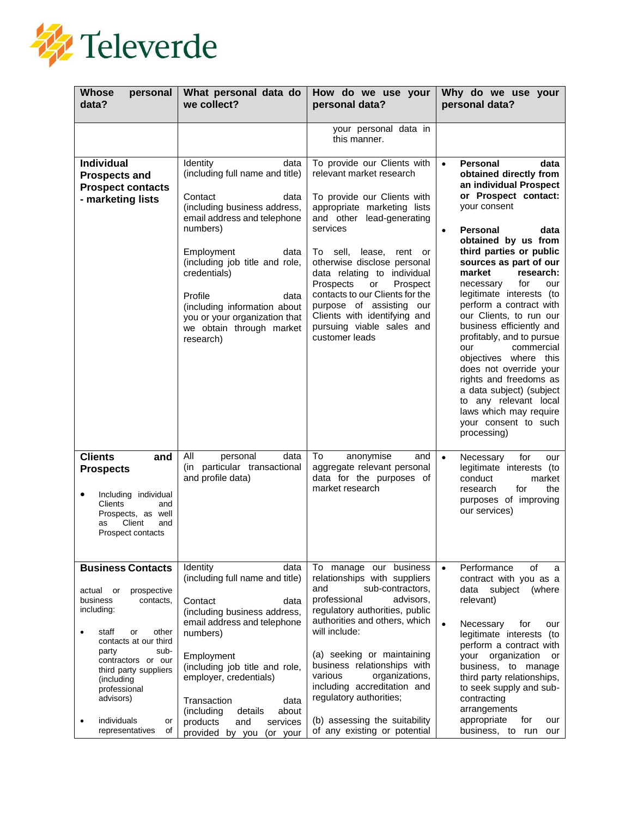

| <b>Whose</b><br>personal<br>data?                                                                                                                                                                                                                                                                                     | What personal data do<br>we collect?                                                                                                                                                                                                                                                                                                                   | How do we use your<br>personal data?                                                                                                                                                                                                                                                                                                                                                                                                    | Why do we use your<br>personal data?                                                                                                                                                                                                                                                                                                                                                                                                                                                                                                                                                                                                                  |
|-----------------------------------------------------------------------------------------------------------------------------------------------------------------------------------------------------------------------------------------------------------------------------------------------------------------------|--------------------------------------------------------------------------------------------------------------------------------------------------------------------------------------------------------------------------------------------------------------------------------------------------------------------------------------------------------|-----------------------------------------------------------------------------------------------------------------------------------------------------------------------------------------------------------------------------------------------------------------------------------------------------------------------------------------------------------------------------------------------------------------------------------------|-------------------------------------------------------------------------------------------------------------------------------------------------------------------------------------------------------------------------------------------------------------------------------------------------------------------------------------------------------------------------------------------------------------------------------------------------------------------------------------------------------------------------------------------------------------------------------------------------------------------------------------------------------|
|                                                                                                                                                                                                                                                                                                                       |                                                                                                                                                                                                                                                                                                                                                        | your personal data in<br>this manner.                                                                                                                                                                                                                                                                                                                                                                                                   |                                                                                                                                                                                                                                                                                                                                                                                                                                                                                                                                                                                                                                                       |
| <b>Individual</b><br><b>Prospects and</b><br><b>Prospect contacts</b><br>- marketing lists                                                                                                                                                                                                                            | Identity<br>data<br>(including full name and title)<br>Contact<br>data<br>(including business address,<br>email address and telephone<br>numbers)<br>Employment<br>data<br>(including job title and role,<br>credentials)<br>Profile<br>data<br>(including information about<br>you or your organization that<br>we obtain through market<br>research) | To provide our Clients with<br>relevant market research<br>To provide our Clients with<br>appropriate marketing lists<br>and other lead-generating<br>services<br>To sell,<br>lease, rent or<br>otherwise disclose personal<br>data relating to individual<br>Prospects<br>Prospect<br>or<br>contacts to our Clients for the<br>purpose of assisting our<br>Clients with identifying and<br>pursuing viable sales and<br>customer leads | <b>Personal</b><br>$\bullet$<br>data<br>obtained directly from<br>an individual Prospect<br>or Prospect contact:<br>your consent<br>Personal<br>data<br>obtained by us from<br>third parties or public<br>sources as part of our<br>market<br>research:<br>for<br>necessary<br>our<br>legitimate interests (to<br>perform a contract with<br>our Clients, to run our<br>business efficiently and<br>profitably, and to pursue<br>commercial<br>our<br>objectives where this<br>does not override your<br>rights and freedoms as<br>a data subject) (subject<br>to any relevant local<br>laws which may require<br>your consent to such<br>processing) |
| <b>Clients</b><br>and<br><b>Prospects</b><br>Including individual<br>Clients<br>and<br>Prospects, as well<br>Client<br>and<br>as<br>Prospect contacts                                                                                                                                                                 | All<br>personal<br>data<br>(in particular transactional<br>and profile data)                                                                                                                                                                                                                                                                           | anonymise<br>To<br>and<br>aggregate relevant personal<br>data for the purposes of<br>market research                                                                                                                                                                                                                                                                                                                                    | Necessary<br>for<br>$\bullet$<br>our<br>legitimate interests (to<br>conduct<br>market<br>for<br>research<br>the<br>purposes of improving<br>our services)                                                                                                                                                                                                                                                                                                                                                                                                                                                                                             |
| <b>Business Contacts</b><br>actual<br>prospective<br>or<br>business<br>contacts,<br>including:<br>staff<br>other<br>or<br>contacts at our third<br>sub-<br>party<br>contractors or our<br>third party suppliers<br>(including<br>professional<br>advisors)<br>individuals<br>or<br>$\bullet$<br>representatives<br>οf | Identity<br>data<br>(including full name and title)<br>Contact<br>data<br>(including business address,<br>email address and telephone<br>numbers)<br>Employment<br>(including job title and role,<br>employer, credentials)<br>Transaction<br>data<br>(including<br>details<br>about<br>products<br>and<br>services<br>provided by you (or your        | To manage our business<br>relationships with suppliers<br>sub-contractors.<br>and<br>professional<br>advisors,<br>regulatory authorities, public<br>authorities and others, which<br>will include:<br>(a) seeking or maintaining<br>business relationships with<br>organizations,<br>various<br>including accreditation and<br>regulatory authorities;<br>(b) assessing the suitability<br>of any existing or potential                 | Performance<br>of<br>$\bullet$<br>a<br>contract with you as a<br>subject<br>data<br>(where<br>relevant)<br>Necessary<br>for<br>$\bullet$<br>our<br>legitimate interests<br>(to<br>perform a contract with<br>your organization<br>or<br>business, to manage<br>third party relationships,<br>to seek supply and sub-<br>contracting<br>arrangements<br>appropriate<br>for<br>our<br>business, to run<br>our                                                                                                                                                                                                                                           |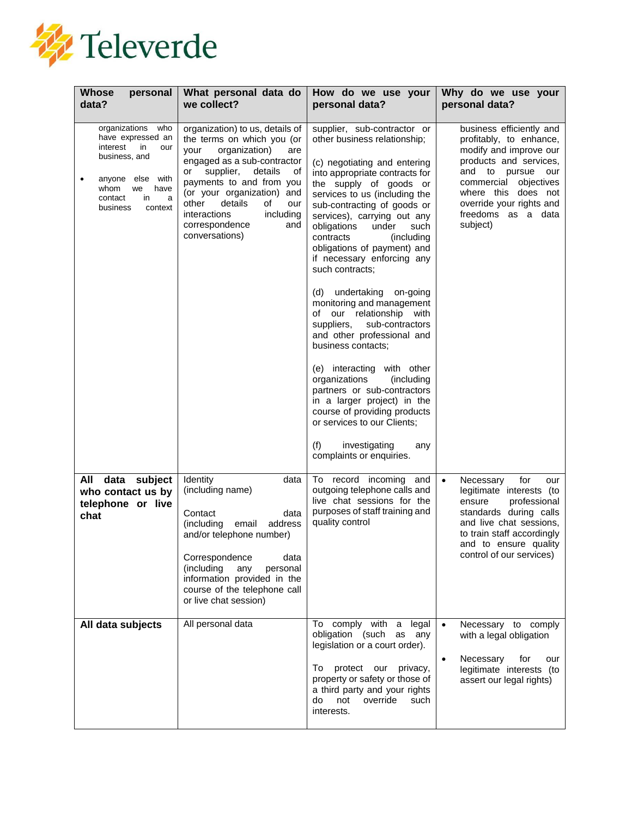

| <b>Whose</b><br>personal<br>data?                                                                                                                                                        | What personal data do<br>we collect?                                                                                                                                                                                                                                                                                                | How do we use your<br>personal data?                                                                                                                                                                                                                                                                                                                                                                                                                                                                                                                                                                                                                                                                                                                                                                                                | Why do we use your<br>personal data?                                                                                                                                                                                                             |
|------------------------------------------------------------------------------------------------------------------------------------------------------------------------------------------|-------------------------------------------------------------------------------------------------------------------------------------------------------------------------------------------------------------------------------------------------------------------------------------------------------------------------------------|-------------------------------------------------------------------------------------------------------------------------------------------------------------------------------------------------------------------------------------------------------------------------------------------------------------------------------------------------------------------------------------------------------------------------------------------------------------------------------------------------------------------------------------------------------------------------------------------------------------------------------------------------------------------------------------------------------------------------------------------------------------------------------------------------------------------------------------|--------------------------------------------------------------------------------------------------------------------------------------------------------------------------------------------------------------------------------------------------|
| organizations<br>who<br>have expressed an<br>interest<br>in<br>our<br>business, and<br>anyone else with<br>$\bullet$<br>whom<br>we<br>have<br>contact<br>in.<br>a<br>business<br>context | organization) to us, details of<br>the terms on which you (or<br>organization)<br>your<br>are<br>engaged as a sub-contractor<br>supplier,<br>details<br>or<br>οf<br>payments to and from you<br>(or your organization) and<br>details<br>other<br>οf<br>our<br>interactions<br>including<br>correspondence<br>and<br>conversations) | supplier, sub-contractor or<br>other business relationship;<br>(c) negotiating and entering<br>into appropriate contracts for<br>the supply of goods or<br>services to us (including the<br>sub-contracting of goods or<br>services), carrying out any<br>obligations<br>under<br>such<br>contracts<br>(including<br>obligations of payment) and<br>if necessary enforcing any<br>such contracts;<br>undertaking on-going<br>(d)<br>monitoring and management<br>of our relationship with<br>sub-contractors<br>suppliers,<br>and other professional and<br>business contacts;<br>(e) interacting with other<br>(including<br>organizations<br>partners or sub-contractors<br>in a larger project) in the<br>course of providing products<br>or services to our Clients;<br>(f)<br>investigating<br>any<br>complaints or enquiries. | business efficiently and<br>profitably, to enhance,<br>modify and improve our<br>products and services,<br>and to<br>pursue<br>our<br>commercial objectives<br>where this does not<br>override your rights and<br>freedoms as a data<br>subject) |
| data subject<br>All<br>who contact us by<br>telephone or live<br>chat                                                                                                                    | Identity<br>data<br>(including name)<br>data<br>Contact<br>(including<br>address<br>email<br>and/or telephone number)<br>Correspondence<br>data<br>(including<br>any<br>personal<br>information provided in the<br>course of the telephone call<br>or live chat session)                                                            | To record incoming and<br>outgoing telephone calls and<br>live chat sessions for the<br>purposes of staff training and<br>quality control                                                                                                                                                                                                                                                                                                                                                                                                                                                                                                                                                                                                                                                                                           | for<br>$\bullet$<br>Necessary<br>our<br>legitimate interests (to<br>professional<br>ensure<br>standards during calls<br>and live chat sessions,<br>to train staff accordingly<br>and to ensure quality<br>control of our services)               |
| All data subjects                                                                                                                                                                        | All personal data                                                                                                                                                                                                                                                                                                                   | To comply with a<br>legal<br>obligation (such as any<br>legislation or a court order).<br>protect our privacy,<br>To<br>property or safety or those of<br>a third party and your rights<br>override<br>not<br>do<br>such<br>interests.                                                                                                                                                                                                                                                                                                                                                                                                                                                                                                                                                                                              | Necessary to comply<br>$\bullet$<br>with a legal obligation<br>Necessary<br>for<br>$\bullet$<br>our<br>legitimate interests (to<br>assert our legal rights)                                                                                      |